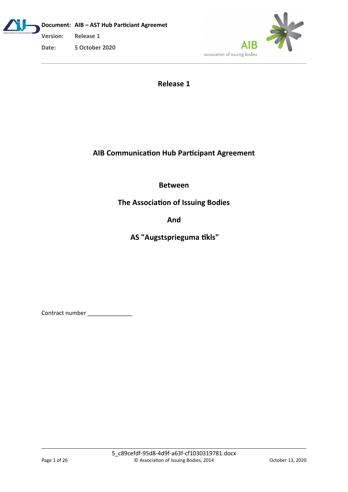**Document: AIB – AST Hub Particiant Agreemet Version: Release 1 Date: 5 October 2020**



**Release 1**

# **AIB Communication Hub Participant Agreement**

**Between**

**The Association of Issuing Bodies**

**And**

**AS "Augstsprieguma tīkls"**

Contract number \_\_\_\_\_\_\_\_\_\_\_\_\_\_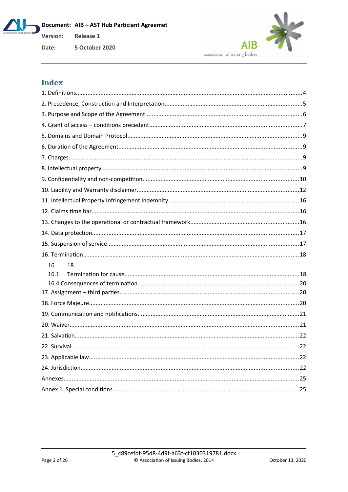Document: AIB - AST Hub Particiant Agreemet Release 1



Date: **5 October 2020** 

# **Index**

Version: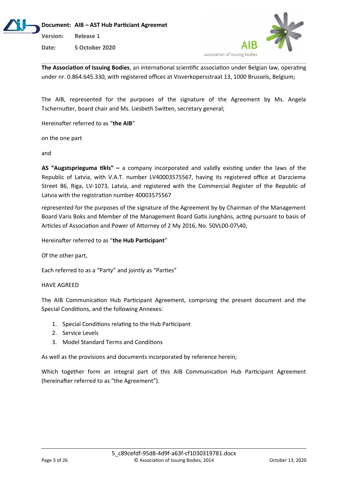



**The Association of Issuing Bodies**, an international scientific association under Belgian law, operating under nr. 0.864.645.330, with registered offices at Visverkopersstraat 13, 1000 Brussels, Belgium;

The AIB, represented for the purposes of the signature of the Agreement by Ms. Angela Tschernutter, board chair and Ms. Liesbeth Switten, secretary general;

Hereinafter referred to as "**the AIB**"

on the one part

and

**AS "Augstsprieguma tīkls" –** a company incorporated and validly existing under the laws of the Republic of Latvia, with V.A.T. number LV40003575567, having its registered office at Darzciema Street 86, Riga, LV-1073, Latvia, and registered with the Commercial Register of the Republic of Latvia with the registration number 40003575567

represented for the purposes of the signature of the Agreement by by Chairman of the Management Board Varis Boks and Member of the Management Board Gatis Junghāns, acting pursuant to basis of Articles of Association and Power of Attorney of 2 My 2016, No. 50VL00-07\40,

Hereinafter referred to as "**the Hub Participant**"

Of the other part,

Each referred to as a "Party" and jointly as "Parties"

#### HAVE AGREED

The AIB Communication Hub Participant Agreement, comprising the present document and the Special Conditions, and the following Annexes:

- 1. Special Conditions relating to the Hub Participant
- 2. Service Levels
- 3. Model Standard Terms and Conditions

As well as the provisions and documents incorporated by reference herein;

Which together form an integral part of this AIB Communication Hub Participant Agreement (hereinafter referred to as "the Agreement").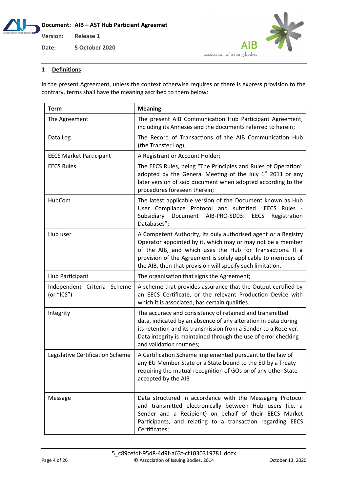





#### **1 Definitions**

In the present Agreement, unless the context otherwise requires or there is express provision to the contrary, terms shall have the meaning ascribed to them below:

| <b>Term</b>                               | <b>Meaning</b>                                                                                                                                                                                                                                                                                                           |  |
|-------------------------------------------|--------------------------------------------------------------------------------------------------------------------------------------------------------------------------------------------------------------------------------------------------------------------------------------------------------------------------|--|
| The Agreement                             | The present AIB Communication Hub Participant Agreement,<br>including its Annexes and the documents referred to herein;                                                                                                                                                                                                  |  |
| Data Log                                  | The Record of Transactions of the AIB Communication Hub<br>(the Transfer Log);                                                                                                                                                                                                                                           |  |
| <b>EECS Market Participant</b>            | A Registrant or Account Holder;                                                                                                                                                                                                                                                                                          |  |
| <b>EECS Rules</b>                         | The EECS Rules, being "The Principles and Rules of Operation"<br>adopted by the General Meeting of the July $1st$ 2011 or any<br>later version of said document when adopted according to the<br>procedures foreseen therein;                                                                                            |  |
| HubCom                                    | The latest applicable version of the Document known as Hub<br>User Compliance Protocol and subtitled "EECS Rules -<br>Document AIB-PRO-SD03:<br>Subsidiary<br>EECS<br>Registration<br>Databases";                                                                                                                        |  |
| Hub user                                  | A Competent Authority, its duly authorised agent or a Registry<br>Operator appointed by it, which may or may not be a member<br>of the AIB, and which uses the Hub for Transactions. If a<br>provision of the Agreement is solely applicable to members of<br>the AIB, then that provision will specify such limitation. |  |
| Hub Participant                           | The organisation that signs the Agreement;                                                                                                                                                                                                                                                                               |  |
| Independent Criteria Scheme<br>(or "ICS") | A scheme that provides assurance that the Output certified by<br>an EECS Certificate, or the relevant Production Device with<br>which it is associated, has certain qualities.                                                                                                                                           |  |
| Integrity                                 | The accuracy and consistency of retained and transmitted<br>data, indicated by an absence of any alteration in data during<br>its retention and its transmission from a Sender to a Receiver.<br>Data integrity is maintained through the use of error checking<br>and validation routines;                              |  |
| Legislative Certification Scheme          | A Certification Scheme implemented pursuant to the law of<br>any EU Member State or a State bound to the EU by a Treaty<br>requiring the mutual recognition of GOs or of any other State<br>accepted by the AIB                                                                                                          |  |
| Message                                   | Data structured in accordance with the Messaging Protocol<br>and transmitted electronically between Hub users (i.e. a<br>Sender and a Recipient) on behalf of their EECS Market<br>Participants, and relating to a transaction regarding EECS<br>Certificates;                                                           |  |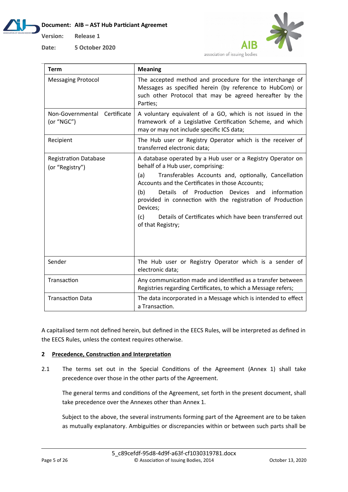## **Document: AIB – AST Hub Particiant Agreemet**



**Date: 5 October 2020**



association of issuing bodies

| <b>Term</b>                                     | <b>Meaning</b>                                                                                                                                                                                                                                                                                                                                                                                                                                     |
|-------------------------------------------------|----------------------------------------------------------------------------------------------------------------------------------------------------------------------------------------------------------------------------------------------------------------------------------------------------------------------------------------------------------------------------------------------------------------------------------------------------|
| <b>Messaging Protocol</b>                       | The accepted method and procedure for the interchange of<br>Messages as specified herein (by reference to HubCom) or<br>such other Protocol that may be agreed hereafter by the<br>Parties;                                                                                                                                                                                                                                                        |
| Non-Governmental Certificate<br>(or "NGC")      | A voluntary equivalent of a GO, which is not issued in the<br>framework of a Legislative Certification Scheme, and which<br>may or may not include specific ICS data;                                                                                                                                                                                                                                                                              |
| Recipient                                       | The Hub user or Registry Operator which is the receiver of<br>transferred electronic data;                                                                                                                                                                                                                                                                                                                                                         |
| <b>Registration Database</b><br>(or "Registry") | A database operated by a Hub user or a Registry Operator on<br>behalf of a Hub user, comprising:<br>Transferables Accounts and, optionally, Cancellation<br>(a)<br>Accounts and the Certificates in those Accounts;<br>(b)<br>Details of Production<br>Devices and<br>information<br>provided in connection with the registration of Production<br>Devices;<br>Details of Certificates which have been transferred out<br>(c)<br>of that Registry; |
| Sender                                          | The Hub user or Registry Operator which is a sender of<br>electronic data;                                                                                                                                                                                                                                                                                                                                                                         |
| Transaction                                     | Any communication made and identified as a transfer between<br>Registries regarding Certificates, to which a Message refers;                                                                                                                                                                                                                                                                                                                       |
| <b>Transaction Data</b>                         | The data incorporated in a Message which is intended to effect<br>a Transaction.                                                                                                                                                                                                                                                                                                                                                                   |

A capitalised term not defined herein, but defined in the EECS Rules, will be interpreted as defined in the EECS Rules, unless the context requires otherwise.

# **2 Precedence, Construction and Interpretation**

2.1 The terms set out in the Special Conditions of the Agreement (Annex 1) shall take precedence over those in the other parts of the Agreement.

The general terms and conditions of the Agreement, set forth in the present document, shall take precedence over the Annexes other than Annex 1.

Subject to the above, the several instruments forming part of the Agreement are to be taken as mutually explanatory. Ambiguities or discrepancies within or between such parts shall be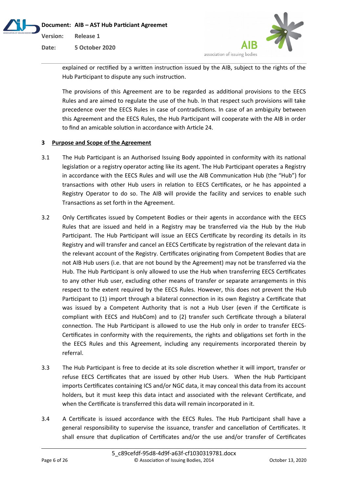



explained or rectified by a written instruction issued by the AIB, subject to the rights of the Hub Participant to dispute any such instruction.

The provisions of this Agreement are to be regarded as additional provisions to the EECS Rules and are aimed to regulate the use of the hub. In that respect such provisions will take precedence over the EECS Rules in case of contradictions. In case of an ambiguity between this Agreement and the EECS Rules, the Hub Participant will cooperate with the AIB in order to find an amicable solution in accordance with Article 24.

# **3 Purpose and Scope of the Agreement**

- 3.1 The Hub Participant is an Authorised Issuing Body appointed in conformity with its national legislation or a registry operator acting like its agent. The Hub Participant operates a Registry in accordance with the EECS Rules and will use the AIB Communication Hub (the "Hub") for transactions with other Hub users in relation to EECS Certificates, or he has appointed a Registry Operator to do so. The AIB will provide the facility and services to enable such Transactions as set forth in the Agreement.
- 3.2 Only Certificates issued by Competent Bodies or their agents in accordance with the EECS Rules that are issued and held in a Registry may be transferred via the Hub by the Hub Participant. The Hub Participant will issue an EECS Certificate by recording its details in its Registry and will transfer and cancel an EECS Certificate by registration of the relevant data in the relevant account of the Registry. Certificates originating from Competent Bodies that are not AIB Hub users (i.e. that are not bound by the Agreement) may not be transferred via the Hub. The Hub Participant is only allowed to use the Hub when transferring EECS Certificates to any other Hub user, excluding other means of transfer or separate arrangements in this respect to the extent required by the EECS Rules. However, this does not prevent the Hub Participant to (1) import through a bilateral connection in its own Registry a Certificate that was issued by a Competent Authority that is not a Hub User (even if the Certificate is compliant with EECS and HubCom) and to (2) transfer such Certificate through a bilateral connection. The Hub Participant is allowed to use the Hub only in order to transfer EECS-Certificates in conformity with the requirements, the rights and obligations set forth in the the EECS Rules and this Agreement, including any requirements incorporated therein by referral.
- 3.3 The Hub Participant is free to decide at its sole discretion whether it will import, transfer or refuse EECS Certificates that are issued by other Hub Users. When the Hub Participant imports Certificates containing ICS and/or NGC data, it may conceal this data from its account holders, but it must keep this data intact and associated with the relevant Certificate, and when the Certificate is transferred this data will remain incorporated in it.
- 3.4 A Certificate is issued accordance with the EECS Rules. The Hub Participant shall have a general responsibility to supervise the issuance, transfer and cancellation of Certificates. It shall ensure that duplication of Certificates and/or the use and/or transfer of Certificates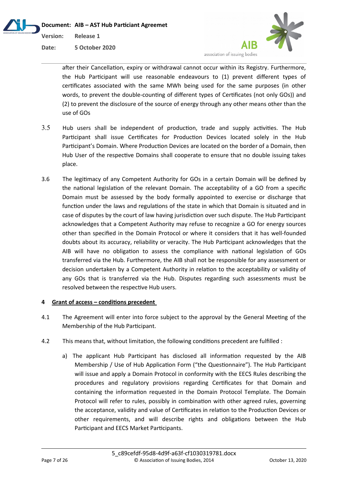



after their Cancellation, expiry or withdrawal cannot occur within its Registry. Furthermore, the Hub Participant will use reasonable endeavours to (1) prevent different types of certificates associated with the same MWh being used for the same purposes (in other words, to prevent the double-counting of different types of Certificates (not only GOs)) and (2) to prevent the disclosure of the source of energy through any other means other than the use of GOs

- 3.5 Hub users shall be independent of production, trade and supply activities. The Hub Participant shall issue Certificates for Production Devices located solely in the Hub Participant's Domain. Where Production Devices are located on the border of a Domain, then Hub User of the respective Domains shall cooperate to ensure that no double issuing takes place.
- 3.6 The legitimacy of any Competent Authority for GOs in a certain Domain will be defined by the national legislation of the relevant Domain. The acceptability of a GO from a specific Domain must be assessed by the body formally appointed to exercise or discharge that function under the laws and regulations of the state in which that Domain is situated and in case of disputes by the court of law having jurisdiction over such dispute. The Hub Participant acknowledges that a Competent Authority may refuse to recognize a GO for energy sources other than specified in the Domain Protocol or where it considers that it has well-founded doubts about its accuracy, reliability or veracity. The Hub Participant acknowledges that the AIB will have no obligation to assess the compliance with national legislation of GOs transferred via the Hub. Furthermore, the AIB shall not be responsible for any assessment or decision undertaken by a Competent Authority in relation to the acceptability or validity of any GOs that is transferred via the Hub. Disputes regarding such assessments must be resolved between the respective Hub users.

## **4 Grant of access – conditions precedent**

- 4.1 The Agreement will enter into force subject to the approval by the General Meeting of the Membership of the Hub Participant.
- 4.2 This means that, without limitation, the following conditions precedent are fulfilled :
	- a) The applicant Hub Participant has disclosed all information requested by the AIB Membership / Use of Hub Application Form ("the Questionnaire"). The Hub Participant will issue and apply a Domain Protocol in conformity with the EECS Rules describing the procedures and regulatory provisions regarding Certificates for that Domain and containing the information requested in the Domain Protocol Template. The Domain Protocol will refer to rules, possibly in combination with other agreed rules, governing the acceptance, validity and value of Certificates in relation to the Production Devices or other requirements, and will describe rights and obligations between the Hub Participant and EECS Market Participants.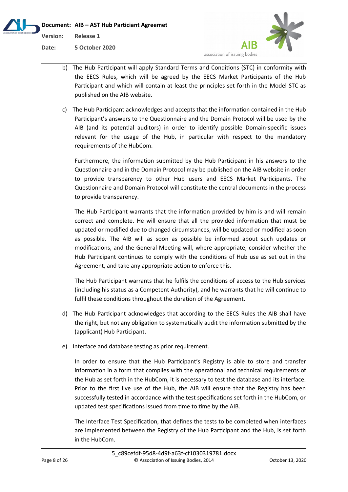



- b) The Hub Participant will apply Standard Terms and Conditions (STC) in conformity with the EECS Rules, which will be agreed by the EECS Market Participants of the Hub Participant and which will contain at least the principles set forth in the Model STC as published on the AIB website.
- c) The Hub Participant acknowledges and accepts that the information contained in the Hub Participant's answers to the Questionnaire and the Domain Protocol will be used by the AIB (and its potential auditors) in order to identify possible Domain-specific issues relevant for the usage of the Hub, in particular with respect to the mandatory requirements of the HubCom.

Furthermore, the information submitted by the Hub Participant in his answers to the Questionnaire and in the Domain Protocol may be published on the AIB website in order to provide transparency to other Hub users and EECS Market Participants. The Questionnaire and Domain Protocol will constitute the central documents in the process to provide transparency.

The Hub Participant warrants that the information provided by him is and will remain correct and complete. He will ensure that all the provided information that must be updated or modified due to changed circumstances, will be updated or modified as soon as possible. The AIB will as soon as possible be informed about such updates or modifications, and the General Meeting will, where appropriate, consider whether the Hub Participant continues to comply with the conditions of Hub use as set out in the Agreement, and take any appropriate action to enforce this.

The Hub Participant warrants that he fulfils the conditions of access to the Hub services (including his status as a Competent Authority), and he warrants that he will continue to fulfil these conditions throughout the duration of the Agreement.

- d) The Hub Participant acknowledges that according to the EECS Rules the AIB shall have the right, but not any obligation to systematically audit the information submitted by the (applicant) Hub Participant.
- e) Interface and database testing as prior requirement.

In order to ensure that the Hub Participant's Registry is able to store and transfer information in a form that complies with the operational and technical requirements of the Hub as set forth in the HubCom, it is necessary to test the database and its interface. Prior to the first live use of the Hub, the AIB will ensure that the Registry has been successfully tested in accordance with the test specifications set forth in the HubCom, or updated test specifications issued from time to time by the AIB.

The Interface Test Specification, that defines the tests to be completed when interfaces are implemented between the Registry of the Hub Participant and the Hub, is set forth in the HubCom.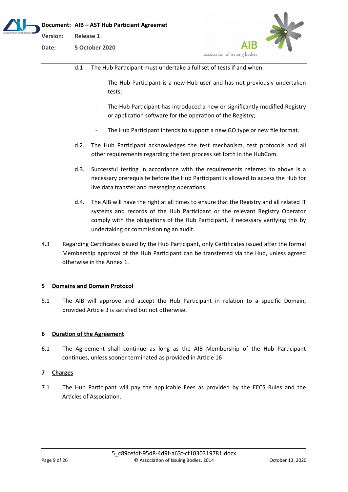|                    | Document: AIB - AST Hub Particiant Agreemet |
|--------------------|---------------------------------------------|
| Version: Release 1 |                                             |
| Date:              | 5 October 2020                              |



- d.1 The Hub Participant must undertake a full set of tests if and when:
	- The Hub Participant is a new Hub user and has not previously undertaken tests;
	- The Hub Participant has introduced a new or significantly modified Registry or application software for the operation of the Registry;
	- The Hub Participant intends to support a new GO type or new file format.
- d.2. The Hub Participant acknowledges the test mechanism, test protocols and all other requirements regarding the test process set forth in the HubCom.
- d.3. Successful testing in accordance with the requirements referred to above is a necessary prerequisite before the Hub Participant is allowed to access the Hub for live data transfer and messaging operations.
- d.4. The AIB will have the right at all times to ensure that the Registry and all related IT systems and records of the Hub Participant or the relevant Registry Operator comply with the obligations of the Hub Participant, if necessary verifying this by undertaking or commissioning an audit.
- 4.3 Regarding Certificates issued by the Hub Participant, only Certificates issued after the formal Membership approval of the Hub Participant can be transferred via the Hub, unless agreed otherwise in the Annex 1.

## **5 Domains and Domain Protocol**

5.1 The AIB will approve and accept the Hub Participant in relation to a specific Domain, provided Article 3 is satisfied but not otherwise.

## **6 Duration of the Agreement**

6.1 The Agreement shall continue as long as the AIB Membership of the Hub Participant continues, unless sooner terminated as provided in Article 16

# **7 Charges**

7.1 The Hub Participant will pay the applicable Fees as provided by the EECS Rules and the Articles of Association.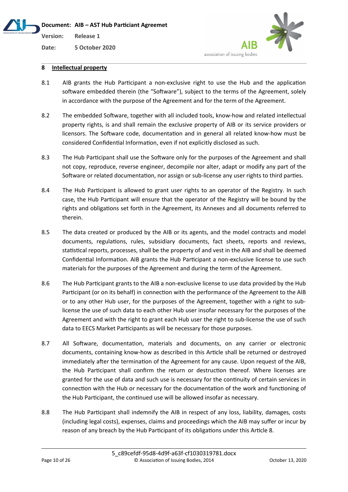**Version: Release 1**

**Date: 5 October 2020**



# **8 Intellectual property**

- 8.1 AIB grants the Hub Participant a non-exclusive right to use the Hub and the application software embedded therein (the "Software"), subject to the terms of the Agreement, solely in accordance with the purpose of the Agreement and for the term of the Agreement.
- 8.2 The embedded Software, together with all included tools, know-how and related intellectual property rights, is and shall remain the exclusive property of AIB or its service providers or licensors. The Software code, documentation and in general all related know-how must be considered Confidential Information, even if not explicitly disclosed as such.
- 8.3 The Hub Participant shall use the Software only for the purposes of the Agreement and shall not copy, reproduce, reverse engineer, decompile nor alter, adapt or modify any part of the Software or related documentation, nor assign or sub-license any user rights to third parties.
- 8.4 The Hub Participant is allowed to grant user rights to an operator of the Registry. In such case, the Hub Participant will ensure that the operator of the Registry will be bound by the rights and obligations set forth in the Agreement, its Annexes and all documents referred to therein.
- 8.5 The data created or produced by the AIB or its agents, and the model contracts and model documents, regulations, rules, subsidiary documents, fact sheets, reports and reviews, statistical reports, processes, shall be the property of and vest in the AIB and shall be deemed Confidential Information. AIB grants the Hub Participant a non-exclusive license to use such materials for the purposes of the Agreement and during the term of the Agreement.
- 8.6 The Hub Participant grants to the AIB a non-exclusive license to use data provided by the Hub Participant (or on its behalf) in connection with the performance of the Agreement to the AIB or to any other Hub user, for the purposes of the Agreement, together with a right to sublicense the use of such data to each other Hub user insofar necessary for the purposes of the Agreement and with the right to grant each Hub user the right to sub-license the use of such data to EECS Market Participants as will be necessary for those purposes.
- 8.7 All Software, documentation, materials and documents, on any carrier or electronic documents, containing know-how as described in this Article shall be returned or destroyed immediately after the termination of the Agreement for any cause. Upon request of the AIB, the Hub Participant shall confirm the return or destruction thereof. Where licenses are granted for the use of data and such use is necessary for the continuity of certain services in connection with the Hub or necessary for the documentation of the work and functioning of the Hub Participant, the continued use will be allowed insofar as necessary.
- 8.8 The Hub Participant shall indemnify the AIB in respect of any loss, liability, damages, costs (including legal costs), expenses, claims and proceedings which the AIB may suffer or incur by reason of any breach by the Hub Participant of its obligations under this Article 8.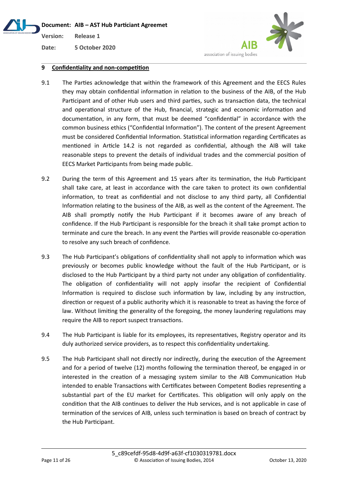# **Document: AIB – AST Hub Particiant Agreemet Version: Release 1**



**Date: 5 October 2020**

# **9 Confidentiality and non-competition**

- 9.1 The Parties acknowledge that within the framework of this Agreement and the EECS Rules they may obtain confidential information in relation to the business of the AIB, of the Hub Participant and of other Hub users and third parties, such as transaction data, the technical and operational structure of the Hub, financial, strategic and economic information and documentation, in any form, that must be deemed "confidential" in accordance with the common business ethics ("Confidential Information"). The content of the present Agreement must be considered Confidential Information. Statistical information regarding Certificates as mentioned in Article 14.2 is not regarded as confidential, although the AIB will take reasonable steps to prevent the details of individual trades and the commercial position of EECS Market Participants from being made public.
- 9.2 During the term of this Agreement and 15 years after its termination, the Hub Participant shall take care, at least in accordance with the care taken to protect its own confidential information, to treat as confidential and not disclose to any third party, all Confidential Information relating to the business of the AIB, as well as the content of the Agreement. The AIB shall promptly notify the Hub Participant if it becomes aware of any breach of confidence. If the Hub Participant is responsible for the breach it shall take prompt action to terminate and cure the breach. In any event the Parties will provide reasonable co-operation to resolve any such breach of confidence.
- 9.3 The Hub Participant's obligations of confidentiality shall not apply to information which was previously or becomes public knowledge without the fault of the Hub Participant, or is disclosed to the Hub Participant by a third party not under any obligation of confidentiality. The obligation of confidentiality will not apply insofar the recipient of Confidential Information is required to disclose such information by law, including by any instruction, direction or request of a public authority which it is reasonable to treat as having the force of law. Without limiting the generality of the foregoing, the money laundering regulations may require the AIB to report suspect transactions.
- 9.4 The Hub Participant is liable for its employees, its representatives, Registry operator and its duly authorized service providers, as to respect this confidentiality undertaking.
- 9.5 The Hub Participant shall not directly nor indirectly, during the execution of the Agreement and for a period of twelve (12) months following the termination thereof, be engaged in or interested in the creation of a messaging system similar to the AIB Communication Hub intended to enable Transactions with Certificates between Competent Bodies representing a substantial part of the EU market for Certificates. This obligation will only apply on the condition that the AIB continues to deliver the Hub services, and is not applicable in case of termination of the services of AIB, unless such termination is based on breach of contract by the Hub Participant.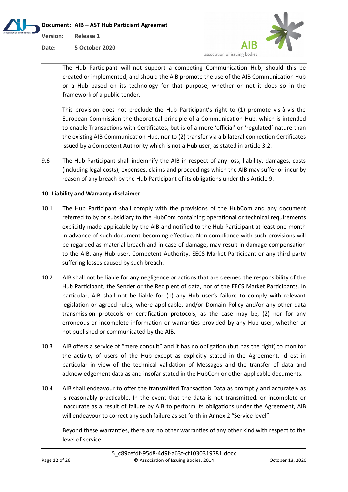



**Date: 5 October 2020**

The Hub Participant will not support a competing Communication Hub, should this be created or implemented, and should the AIB promote the use of the AIB Communication Hub or a Hub based on its technology for that purpose, whether or not it does so in the framework of a public tender.

This provision does not preclude the Hub Participant's right to (1) promote vis-à-vis the European Commission the theoretical principle of a Communication Hub, which is intended to enable Transactions with Certificates, but is of a more 'official' or 'regulated' nature than the existing AIB Communication Hub, nor to (2) transfer via a bilateral connection Certificates issued by a Competent Authority which is not a Hub user, as stated in article 3.2.

9.6 The Hub Participant shall indemnify the AIB in respect of any loss, liability, damages, costs (including legal costs), expenses, claims and proceedings which the AIB may suffer or incur by reason of any breach by the Hub Participant of its obligations under this Article 9.

# **10 Liability and Warranty disclaimer**

- 10.1 The Hub Participant shall comply with the provisions of the HubCom and any document referred to by or subsidiary to the HubCom containing operational or technical requirements explicitly made applicable by the AIB and notified to the Hub Participant at least one month in advance of such document becoming effective. Non-compliance with such provisions will be regarded as material breach and in case of damage, may result in damage compensation to the AIB, any Hub user, Competent Authority, EECS Market Participant or any third party suffering losses caused by such breach.
- 10.2 AIB shall not be liable for any negligence or actions that are deemed the responsibility of the Hub Participant, the Sender or the Recipient of data, nor of the EECS Market Participants. In particular, AIB shall not be liable for (1) any Hub user's failure to comply with relevant legislation or agreed rules, where applicable, and/or Domain Policy and/or any other data transmission protocols or certification protocols, as the case may be, (2) nor for any erroneous or incomplete information or warranties provided by any Hub user, whether or not published or communicated by the AIB.
- 10.3 AIB offers a service of "mere conduit" and it has no obligation (but has the right) to monitor the activity of users of the Hub except as explicitly stated in the Agreement, id est in particular in view of the technical validation of Messages and the transfer of data and acknowledgement data as and insofar stated in the HubCom or other applicable documents.
- 10.4 AIB shall endeavour to offer the transmitted Transaction Data as promptly and accurately as is reasonably practicable. In the event that the data is not transmitted, or incomplete or inaccurate as a result of failure by AIB to perform its obligations under the Agreement, AIB will endeavour to correct any such failure as set forth in Annex 2 "Service level".

Beyond these warranties, there are no other warranties of any other kind with respect to the level of service.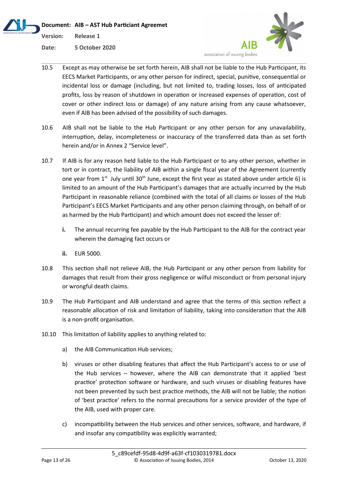**Document: AIB – AST Hub Particiant Agreemet Version: Release 1 Date: 5 October 2020**



- 10.5 Except as may otherwise be set forth herein, AIB shall not be liable to the Hub Participant, its EECS Market Participants, or any other person for indirect, special, punitive, consequential or incidental loss or damage (including, but not limited to, trading losses, loss of anticipated profits, loss by reason of shutdown in operation or increased expenses of operation, cost of cover or other indirect loss or damage) of any nature arising from any cause whatsoever, even if AIB has been advised of the possibility of such damages.
- 10.6 AIB shall not be liable to the Hub Participant or any other person for any unavailability, interruption, delay, incompleteness or inaccuracy of the transferred data than as set forth herein and/or in Annex 2 "Service level".
- 10.7 If AIB is for any reason held liable to the Hub Participant or to any other person, whether in tort or in contract, the liability of AIB within a single fiscal year of the Agreement (currently one year from  $1<sup>st</sup>$  July until 30<sup>th</sup> June, except the first year as stated above under article 6) is limited to an amount of the Hub Participant's damages that are actually incurred by the Hub Participant in reasonable reliance (combined with the total of all claims or losses of the Hub Participant's EECS Market Participants and any other person claiming through, on behalf of or as harmed by the Hub Participant) and which amount does not exceed the lesser of:
	- **i.** The annual recurring fee payable by the Hub Participant to the AIB for the contract year wherein the damaging fact occurs or
	- **ii.** EUR 5000.
- 10.8 This section shall not relieve AIB, the Hub Participant or any other person from liability for damages that result from their gross negligence or wilful misconduct or from personal injury or wrongful death claims.
- 10.9 The Hub Participant and AIB understand and agree that the terms of this section reflect a reasonable allocation of risk and limitation of liability, taking into consideration that the AIB is a non-profit organisation.
- 10.10 This limitation of liability applies to anything related to:
	- a) the AIB Communication Hub services;
	- b) viruses or other disabling features that affect the Hub Participant's access to or use of the Hub services – however, where the AIB can demonstrate that it applied 'best practice' protection software or hardware, and such viruses or disabling features have not been prevented by such best practice methods, the AIB will not be liable; the notion of 'best practice' refers to the normal precautions for a service provider of the type of the AIB, used with proper care.
	- c) incompatibility between the Hub services and other services, software, and hardware, if and insofar any compatibility was explicitly warranted;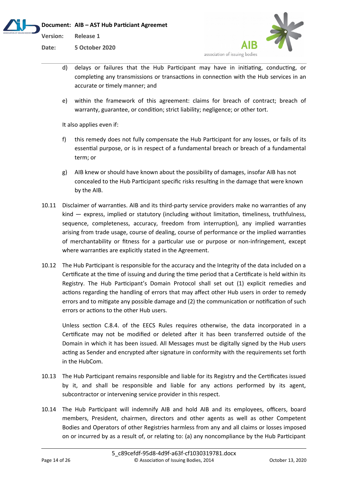



- d) delays or failures that the Hub Participant may have in initiating, conducting, or completing any transmissions or transactions in connection with the Hub services in an accurate or timely manner; and
- e) within the framework of this agreement: claims for breach of contract; breach of warranty, guarantee, or condition; strict liability; negligence; or other tort.

It also applies even if:

- f) this remedy does not fully compensate the Hub Participant for any losses, or fails of its essential purpose, or is in respect of a fundamental breach or breach of a fundamental term; or
- g) AIB knew or should have known about the possibility of damages, insofar AIB has not concealed to the Hub Participant specific risks resulting in the damage that were known by the AIB.
- 10.11 Disclaimer of warranties. AIB and its third-party service providers make no warranties of any kind — express, implied or statutory (including without limitation, timeliness, truthfulness, sequence, completeness, accuracy, freedom from interruption), any implied warranties arising from trade usage, course of dealing, course of performance or the implied warranties of merchantability or fitness for a particular use or purpose or non-infringement, except where warranties are explicitly stated in the Agreement.
- 10.12 The Hub Participant is responsible for the accuracy and the Integrity of the data included on a Certificate at the time of issuing and during the time period that a Certificate is held within its Registry. The Hub Participant's Domain Protocol shall set out (1) explicit remedies and actions regarding the handling of errors that may affect other Hub users in order to remedy errors and to mitigate any possible damage and (2) the communication or notification of such errors or actions to the other Hub users.

Unless section C.8.4. of the EECS Rules requires otherwise, the data incorporated in a Certificate may not be modified or deleted after it has been transferred outside of the Domain in which it has been issued. All Messages must be digitally signed by the Hub users acting as Sender and encrypted after signature in conformity with the requirements set forth in the HubCom.

- 10.13 The Hub Participant remains responsible and liable for its Registry and the Certificates issued by it, and shall be responsible and liable for any actions performed by its agent, subcontractor or intervening service provider in this respect.
- 10.14 The Hub Participant will indemnify AIB and hold AIB and its employees, officers, board members, President, chairmen, directors and other agents as well as other Competent Bodies and Operators of other Registries harmless from any and all claims or losses imposed on or incurred by as a result of, or relating to: (a) any noncompliance by the Hub Participant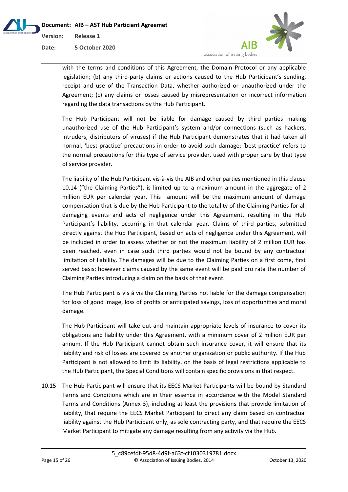

with the terms and conditions of this Agreement, the Domain Protocol or any applicable legislation; (b) any third-party claims or actions caused to the Hub Participant's sending, receipt and use of the Transaction Data, whether authorized or unauthorized under the Agreement; (c) any claims or losses caused by misrepresentation or incorrect information regarding the data transactions by the Hub Participant.

The Hub Participant will not be liable for damage caused by third parties making unauthorized use of the Hub Participant's system and/or connections (such as hackers, intruders, distributors of viruses) if the Hub Participant demonstrates that it had taken all normal, 'best practice' precautions in order to avoid such damage; 'best practice' refers to the normal precautions for this type of service provider, used with proper care by that type of service provider.

The liability of the Hub Participant vis-à-vis the AIB and other parties mentioned in this clause 10.14 ("the Claiming Parties"), is limited up to a maximum amount in the aggregate of 2 million EUR per calendar year. This amount will be the maximum amount of damage compensation that is due by the Hub Participant to the totality of the Claiming Parties for all damaging events and acts of negligence under this Agreement, resulting in the Hub Participant's liability, occurring in that calendar year. Claims of third parties, submitted directly against the Hub Participant, based on acts of negligence under this Agreement, will be included in order to assess whether or not the maximum liability of 2 million EUR has been reached, even in case such third parties would not be bound by any contractual limitation of liability. The damages will be due to the Claiming Parties on a first come, first served basis; however claims caused by the same event will be paid pro rata the number of Claiming Parties introducing a claim on the basis of that event.

The Hub Participant is vis à vis the Claiming Parties not liable for the damage compensation for loss of good image, loss of profits or anticipated savings, loss of opportunities and moral damage.

The Hub Participant will take out and maintain appropriate levels of insurance to cover its obligations and liability under this Agreement, with a minimum cover of 2 million EUR per annum. If the Hub Participant cannot obtain such insurance cover, it will ensure that its liability and risk of losses are covered by another organization or public authority. If the Hub Participant is not allowed to limit its liability, on the basis of legal restrictions applicable to the Hub Participant, the Special Conditions will contain specific provisions in that respect.

10.15 The Hub Participant will ensure that its EECS Market Participants will be bound by Standard Terms and Conditions which are in their essence in accordance with the Model Standard Terms and Conditions (Annex 3), including at least the provisions that provide limitation of liability, that require the EECS Market Participant to direct any claim based on contractual liability against the Hub Participant only, as sole contracting party, and that require the EECS Market Participant to mitigate any damage resulting from any activity via the Hub.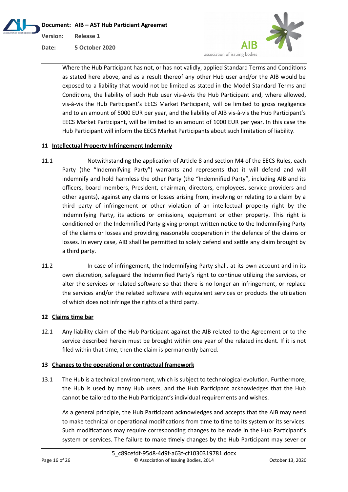



Where the Hub Participant has not, or has not validly, applied Standard Terms and Conditions as stated here above, and as a result thereof any other Hub user and/or the AIB would be exposed to a liability that would not be limited as stated in the Model Standard Terms and Conditions, the liability of such Hub user vis-à-vis the Hub Participant and, where allowed, vis-à-vis the Hub Participant's EECS Market Participant, will be limited to gross negligence and to an amount of 5000 EUR per year, and the liability of AIB vis-à-vis the Hub Participant's EECS Market Participant, will be limited to an amount of 1000 EUR per year. In this case the Hub Participant will inform the EECS Market Participants about such limitation of liability.

# **11 Intellectual Property Infringement Indemnity**

- 11.1 Notwithstanding the application of Article 8 and section M4 of the EECS Rules, each Party (the "Indemnifying Party") warrants and represents that it will defend and will indemnify and hold harmless the other Party (the "Indemnified Party", including AIB and its officers, board members, President, chairman, directors, employees, service providers and other agents), against any claims or losses arising from, involving or relating to a claim by a third party of infringement or other violation of an intellectual property right by the Indemnifying Party, its actions or omissions, equipment or other property. This right is conditioned on the Indemnified Party giving prompt written notice to the Indemnifying Party of the claims or losses and providing reasonable cooperation in the defence of the claims or losses. In every case, AIB shall be permitted to solely defend and settle any claim brought by a third party.
- 11.2 In case of infringement, the Indemnifying Party shall, at its own account and in its own discretion, safeguard the Indemnified Party's right to continue utilizing the services, or alter the services or related software so that there is no longer an infringement, or replace the services and/or the related software with equivalent services or products the utilization of which does not infringe the rights of a third party.

# **12 Claims time bar**

12.1 Any liability claim of the Hub Participant against the AIB related to the Agreement or to the service described herein must be brought within one year of the related incident. If it is not filed within that time, then the claim is permanently barred.

## **13 Changes to the operational or contractual framework**

13.1 The Hub is a technical environment, which is subject to technological evolution. Furthermore, the Hub is used by many Hub users, and the Hub Participant acknowledges that the Hub cannot be tailored to the Hub Participant's individual requirements and wishes.

As a general principle, the Hub Participant acknowledges and accepts that the AIB may need to make technical or operational modifications from time to time to its system or its services. Such modifications may require corresponding changes to be made in the Hub Participant's system or services. The failure to make timely changes by the Hub Participant may sever or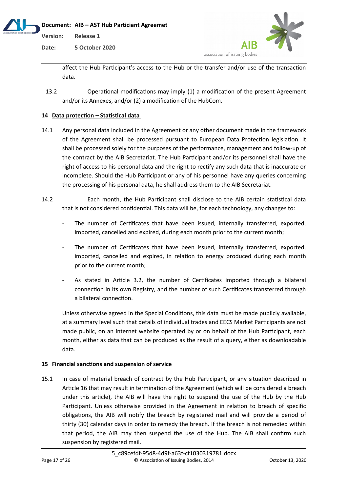

**Date: 5 October 2020**



affect the Hub Participant's access to the Hub or the transfer and/or use of the transaction data.

13.2 Operational modifications may imply (1) a modification of the present Agreement and/or its Annexes, and/or (2) a modification of the HubCom.

# **14 Data protection – Statistical data**

- 14.1 Any personal data included in the Agreement or any other document made in the framework of the Agreement shall be processed pursuant to European Data Protection legislation. It shall be processed solely for the purposes of the performance, management and follow-up of the contract by the AIB Secretariat. The Hub Participant and/or its personnel shall have the right of access to his personal data and the right to rectify any such data that is inaccurate or incomplete. Should the Hub Participant or any of his personnel have any queries concerning the processing of his personal data, he shall address them to the AIB Secretariat.
- 14.2 Each month, the Hub Participant shall disclose to the AIB certain statistical data that is not considered confidential. This data will be, for each technology, any changes to:
	- The number of Certificates that have been issued, internally transferred, exported, imported, cancelled and expired, during each month prior to the current month;
	- The number of Certificates that have been issued, internally transferred, exported, imported, cancelled and expired, in relation to energy produced during each month prior to the current month;
	- As stated in Article 3.2, the number of Certificates imported through a bilateral connection in its own Registry, and the number of such Certificates transferred through a bilateral connection.

Unless otherwise agreed in the Special Conditions, this data must be made publicly available, at a summary level such that details of individual trades and EECS Market Participants are not made public, on an internet website operated by or on behalf of the Hub Participant, each month, either as data that can be produced as the result of a query, either as downloadable data.

## **15 Financial sanctions and suspension of service**

15.1 In case of material breach of contract by the Hub Participant, or any situation described in Article 16 that may result in termination of the Agreement (which will be considered a breach under this article), the AIB will have the right to suspend the use of the Hub by the Hub Participant. Unless otherwise provided in the Agreement in relation to breach of specific obligations, the AIB will notify the breach by registered mail and will provide a period of thirty (30) calendar days in order to remedy the breach. If the breach is not remedied within that period, the AIB may then suspend the use of the Hub. The AIB shall confirm such suspension by registered mail.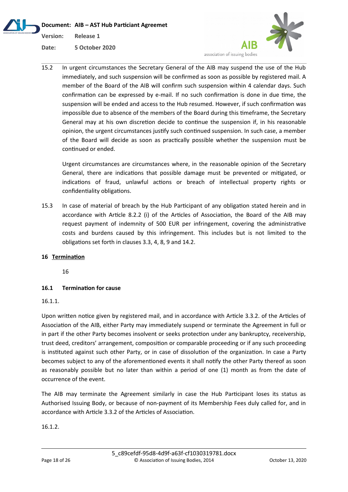**Document: AIB – AST Hub Particiant Agreemet Version: Release 1 Date: 5 October 2020**



15.2 In urgent circumstances the Secretary General of the AIB may suspend the use of the Hub immediately, and such suspension will be confirmed as soon as possible by registered mail. A member of the Board of the AIB will confirm such suspension within 4 calendar days. Such confirmation can be expressed by e-mail. If no such confirmation is done in due time, the suspension will be ended and access to the Hub resumed. However, if such confirmation was impossible due to absence of the members of the Board during this timeframe, the Secretary General may at his own discretion decide to continue the suspension if, in his reasonable opinion, the urgent circumstances justify such continued suspension. In such case, a member of the Board will decide as soon as practically possible whether the suspension must be continued or ended.

Urgent circumstances are circumstances where, in the reasonable opinion of the Secretary General, there are indications that possible damage must be prevented or mitigated, or indications of fraud, unlawful actions or breach of intellectual property rights or confidentiality obligations.

15.3 In case of material of breach by the Hub Participant of any obligation stated herein and in accordance with Article 8.2.2 (i) of the Articles of Association, the Board of the AIB may request payment of indemnity of 500 EUR per infringement, covering the administrative costs and burdens caused by this infringement. This includes but is not limited to the obligations set forth in clauses 3.3, 4, 8, 9 and 14.2.

# **16 Termination**

16

# **16.1 Termination for cause**

16.1.1.

Upon written notice given by registered mail, and in accordance with Article 3.3.2. of the Articles of Association of the AIB, either Party may immediately suspend or terminate the Agreement in full or in part if the other Party becomes insolvent or seeks protection under any bankruptcy, receivership, trust deed, creditors' arrangement, composition or comparable proceeding or if any such proceeding is instituted against such other Party, or in case of dissolution of the organization. In case a Party becomes subject to any of the aforementioned events it shall notify the other Party thereof as soon as reasonably possible but no later than within a period of one (1) month as from the date of occurrence of the event.

The AIB may terminate the Agreement similarly in case the Hub Participant loses its status as Authorised Issuing Body, or because of non-payment of its Membership Fees duly called for, and in accordance with Article 3.3.2 of the Articles of Association.

16.1.2.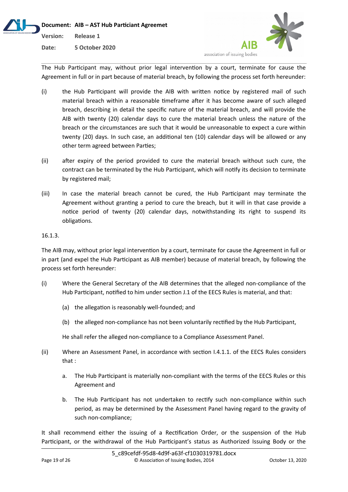

The Hub Participant may, without prior legal intervention by a court, terminate for cause the Agreement in full or in part because of material breach, by following the process set forth hereunder:

- (i) the Hub Participant will provide the AIB with written notice by registered mail of such material breach within a reasonable timeframe after it has become aware of such alleged breach, describing in detail the specific nature of the material breach, and will provide the AIB with twenty (20) calendar days to cure the material breach unless the nature of the breach or the circumstances are such that it would be unreasonable to expect a cure within twenty (20) days. In such case, an additional ten (10) calendar days will be allowed or any other term agreed between Parties;
- (ii) after expiry of the period provided to cure the material breach without such cure, the contract can be terminated by the Hub Participant, which will notify its decision to terminate by registered mail;
- (iii) In case the material breach cannot be cured, the Hub Participant may terminate the Agreement without granting a period to cure the breach, but it will in that case provide a notice period of twenty (20) calendar days, notwithstanding its right to suspend its obligations.

# 16.1.3.

The AIB may, without prior legal intervention by a court, terminate for cause the Agreement in full or in part (and expel the Hub Participant as AIB member) because of material breach, by following the process set forth hereunder:

- (i) Where the General Secretary of the AIB determines that the alleged non-compliance of the Hub Participant, notified to him under section J.1 of the EECS Rules is material, and that:
	- (a) the allegation is reasonably well-founded; and
	- (b) the alleged non-compliance has not been voluntarily rectified by the Hub Participant,

He shall refer the alleged non-compliance to a Compliance Assessment Panel.

- (ii) Where an Assessment Panel, in accordance with section I.4.1.1. of the EECS Rules considers that :
	- a. The Hub Participant is materially non-compliant with the terms of the EECS Rules or this Agreement and
	- b. The Hub Participant has not undertaken to rectify such non-compliance within such period, as may be determined by the Assessment Panel having regard to the gravity of such non-compliance;

It shall recommend either the issuing of a Rectification Order, or the suspension of the Hub Participant, or the withdrawal of the Hub Participant's status as Authorized Issuing Body or the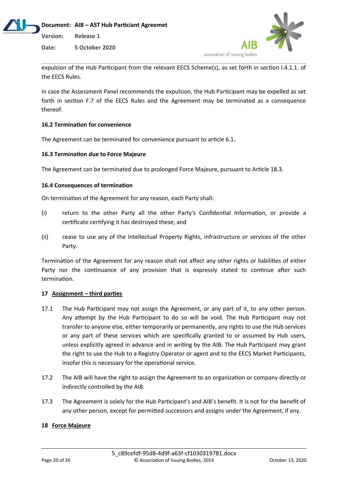



expulsion of the Hub Participant from the relevant EECS Scheme(s), as set forth in section I.4.1.1. of the EECS Rules.

In case the Assessment Panel recommends the expulsion, the Hub Participant may be expelled as set forth in section F.7 of the EECS Rules and the Agreement may be terminated as a consequence thereof.

# **16.2 Termination for convenience**

The Agreement can be terminated for convenience pursuant to article 6.1**.**

# **16.3 Termination due to Force Majeure**

The Agreement can be terminated due to prolonged Force Majeure, pursuant to Article 18.3.

# **16.4 Consequences of termination**

On termination of the Agreement for any reason, each Party shall:

- (i) return to the other Party all the other Party's Confidential Information, or provide a certificate certifying it has destroyed these; and
- (ii) cease to use any of the Intellectual Property Rights, infrastructure or services of the other Party.

Termination of the Agreement for any reason shall not affect any other rights or liabilities of either Party nor the continuance of any provision that is expressly stated to continue after such termination.

## **17 Assignment – third parties**

- 17.1 The Hub Participant may not assign the Agreement, or any part of it, to any other person. Any attempt by the Hub Participant to do so will be void. The Hub Participant may not transfer to anyone else, either temporarily or permanently, any rights to use the Hub services or any part of these services which are specifically granted to or assumed by Hub users, unless explicitly agreed in advance and in writing by the AIB. The Hub Participant may grant the right to use the Hub to a Registry Operator or agent and to the EECS Market Participants, insofar this is necessary for the operational service.
- 17.2 The AIB will have the right to assign the Agreement to an organization or company directly or indirectly controlled by the AIB.
- 17.3 The Agreement is solely for the Hub Participant's and AIB's benefit. It is not for the benefit of any other person, except for permitted successors and assigns under the Agreement, if any.

## **18 Force Majeure**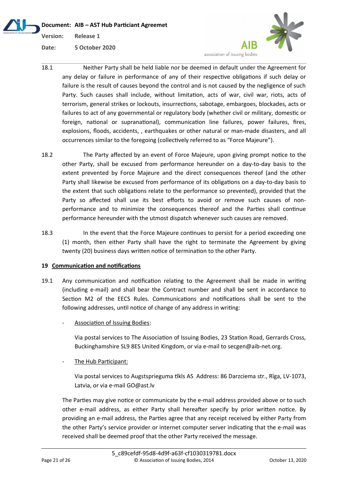**Document: AIB – AST Hub Particiant Agreemet Version: Release 1 Date: 5 October 2020**



- 18.1 Neither Party shall be held liable nor be deemed in default under the Agreement for any delay or failure in performance of any of their respective obligations if such delay or failure is the result of causes beyond the control and is not caused by the negligence of such Party. Such causes shall include, without limitation, acts of war, civil war, riots, acts of terrorism, general strikes or lockouts, insurrections, sabotage, embargoes, blockades, acts or failures to act of any governmental or regulatory body (whether civil or military, domestic or foreign, national or supranational), communication line failures, power failures, fires, explosions, floods, accidents, , earthquakes or other natural or man-made disasters, and all occurrences similar to the foregoing (collectively referred to as "Force Majeure").
- 18.2 The Party affected by an event of Force Majeure, upon giving prompt notice to the other Party, shall be excused from performance hereunder on a day-to-day basis to the extent prevented by Force Majeure and the direct consequences thereof (and the other Party shall likewise be excused from performance of its obligations on a day-to-day basis to the extent that such obligations relate to the performance so prevented), provided that the Party so affected shall use its best efforts to avoid or remove such causes of nonperformance and to minimize the consequences thereof and the Parties shall continue performance hereunder with the utmost dispatch whenever such causes are removed.
- 18.3 In the event that the Force Majeure continues to persist for a period exceeding one (1) month, then either Party shall have the right to terminate the Agreement by giving twenty (20) business days written notice of termination to the other Party.

# **19 Communication and notifications**

- 19.1 Any communication and notification relating to the Agreement shall be made in writing (including e-mail) and shall bear the Contract number and shall be sent in accordance to Section M2 of the EECS Rules. Communications and notifications shall be sent to the following addresses, until notice of change of any address in writing:
	- Association of Issuing Bodies:

Via postal services to The Association of Issuing Bodies, 23 Station Road, Gerrards Cross, Buckinghamshire SL9 8ES United Kingdom, or via e-mail to secgen@aib-net.org.

The Hub Participant:

Via postal services to Augstsprieguma tīkls AS Address: 86 Darzciema str., Rīga, LV-1073, Latvia, or via e-mail GO@ast.lv

The Parties may give notice or communicate by the e-mail address provided above or to such other e-mail address, as either Party shall hereafter specify by prior written notice. By providing an e-mail address, the Parties agree that any receipt received by either Party from the other Party's service provider or internet computer server indicating that the e-mail was received shall be deemed proof that the other Party received the message.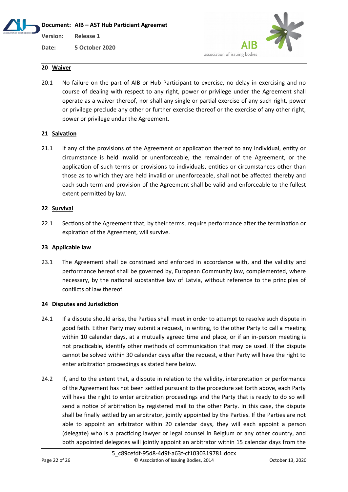# **Document: AIB – AST Hub Particiant Agreemet**

**Version: Release 1**

**Date: 5 October 2020**



# **20 Waiver**

20.1 No failure on the part of AIB or Hub Participant to exercise, no delay in exercising and no course of dealing with respect to any right, power or privilege under the Agreement shall operate as a waiver thereof, nor shall any single or partial exercise of any such right, power or privilege preclude any other or further exercise thereof or the exercise of any other right, power or privilege under the Agreement.

# **21 Salvation**

21.1 If any of the provisions of the Agreement or application thereof to any individual, entity or circumstance is held invalid or unenforceable, the remainder of the Agreement, or the application of such terms or provisions to individuals, entities or circumstances other than those as to which they are held invalid or unenforceable, shall not be affected thereby and each such term and provision of the Agreement shall be valid and enforceable to the fullest extent permitted by law.

# **22 Survival**

22.1 Sections of the Agreement that, by their terms, require performance after the termination or expiration of the Agreement, will survive.

# **23 Applicable law**

23.1 The Agreement shall be construed and enforced in accordance with, and the validity and performance hereof shall be governed by, European Community law, complemented, where necessary, by the national substantive law of Latvia, without reference to the principles of conflicts of law thereof.

## **24 Disputes and Jurisdiction**

- 24.1 If a dispute should arise, the Parties shall meet in order to attempt to resolve such dispute in good faith. Either Party may submit a request, in writing, to the other Party to call a meeting within 10 calendar days, at a mutually agreed time and place, or if an in-person meeting is not practicable, identify other methods of communication that may be used. If the dispute cannot be solved within 30 calendar days after the request, either Party will have the right to enter arbitration proceedings as stated here below.
- 24.2 If, and to the extent that, a dispute in relation to the validity, interpretation or performance of the Agreement has not been settled pursuant to the procedure set forth above, each Party will have the right to enter arbitration proceedings and the Party that is ready to do so will send a notice of arbitration by registered mail to the other Party. In this case, the dispute shall be finally settled by an arbitrator, jointly appointed by the Parties. If the Parties are not able to appoint an arbitrator within 20 calendar days, they will each appoint a person (delegate) who is a practicing lawyer or legal counsel in Belgium or any other country, and both appointed delegates will jointly appoint an arbitrator within 15 calendar days from the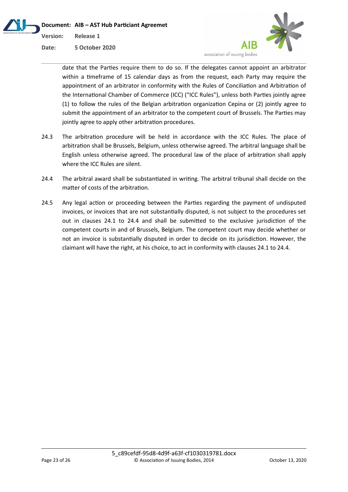



date that the Parties require them to do so. If the delegates cannot appoint an arbitrator within a timeframe of 15 calendar days as from the request, each Party may require the appointment of an arbitrator in conformity with the Rules of Conciliation and Arbitration of the International Chamber of Commerce (ICC) ("ICC Rules"), unless both Parties jointly agree (1) to follow the rules of the Belgian arbitration organization Cepina or (2) jointly agree to submit the appointment of an arbitrator to the competent court of Brussels. The Parties may jointly agree to apply other arbitration procedures.

- 24.3 The arbitration procedure will be held in accordance with the ICC Rules. The place of arbitration shall be Brussels, Belgium, unless otherwise agreed. The arbitral language shall be English unless otherwise agreed. The procedural law of the place of arbitration shall apply where the ICC Rules are silent.
- 24.4 The arbitral award shall be substantiated in writing. The arbitral tribunal shall decide on the matter of costs of the arbitration.
- 24.5 Any legal action or proceeding between the Parties regarding the payment of undisputed invoices, or invoices that are not substantially disputed, is not subject to the procedures set out in clauses 24.1 to 24.4 and shall be submitted to the exclusive jurisdiction of the competent courts in and of Brussels, Belgium. The competent court may decide whether or not an invoice is substantially disputed in order to decide on its jurisdiction. However, the claimant will have the right, at his choice, to act in conformity with clauses 24.1 to 24.4.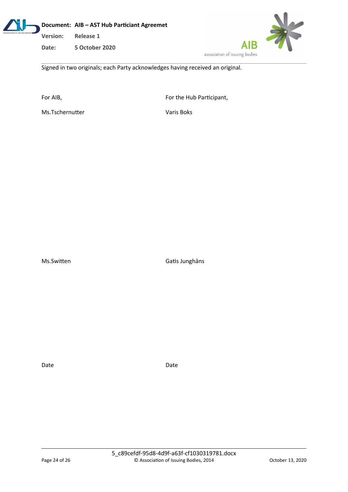

**Date: 5 October 2020**



Signed in two originals; each Party acknowledges having received an original.

For AIB, **For AIB**, **For the Hub Participant**,

Ms.Tschernutter Varis Boks

Ms.Switten Gatis Junghāns

Date **Date** Date **Date**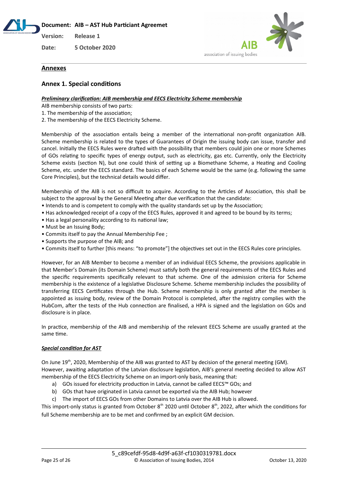**Document: AIB – AST Hub Particiant Agreemet**

**Version: Release 1**

**Date: 5 October 2020**



## **Annexes**

# **Annex 1. Special conditions**

#### *Preliminary clarification: AIB membership and EECS Electricity Scheme membership*

AIB membership consists of two parts:

- 1. The membership of the association;
- 2. The membership of the EECS Electricity Scheme.

Membership of the association entails being a member of the international non-profit organization AIB. Scheme membership is related to the types of Guarantees of Origin the issuing body can issue, transfer and cancel. Initially the EECS Rules were drafted with the possibility that members could join one or more Schemes of GOs relating to specific types of energy output, such as electricity, gas etc. Currently, only the Electricity Scheme exists (section N), but one could think of setting up a Biomethane Scheme, a Heating and Cooling Scheme, etc. under the EECS standard. The basics of each Scheme would be the same (e.g. following the same Core Principles), but the technical details would differ.

Membership of the AIB is not so difficult to acquire. According to the Articles of Association, this shall be subject to the approval by the General Meeting after due verification that the candidate:

- Intends to and is competent to comply with the quality standards set up by the Association;
- Has acknowledged receipt of a copy of the EECS Rules, approved it and agreed to be bound by its terms;
- Has a legal personality according to its national law;
- Must be an Issuing Body;
- Commits itself to pay the Annual Membership Fee ;
- Supports the purpose of the AIB; and
- Commits itself to further [this means: "to promote"] the objectives set out in the EECS Rules core principles.

However, for an AIB Member to become a member of an individual EECS Scheme, the provisions applicable in that Member's Domain (its Domain Scheme) must satisfy both the general requirements of the EECS Rules and the specific requirements specifically relevant to that scheme. One of the admission criteria for Scheme membership is the existence of a legislative Disclosure Scheme. Scheme membership includes the possibility of transferring EECS Certificates through the Hub. Scheme membership is only granted after the member is appointed as issuing body, review of the Domain Protocol is completed, after the registry complies with the HubCom, after the tests of the Hub connection are finalised, a HPA is signed and the legislation on GOs and disclosure is in place.

In practice, membership of the AIB and membership of the relevant EECS Scheme are usually granted at the same time.

#### *Special condition for AST*

On June 19<sup>th</sup>, 2020, Membership of the AIB was granted to AST by decision of the general meeting (GM). However, awaiting adaptation of the Latvian disclosure legislation, AIB's general meeting decided to allow AST membership of the EECS Electricity Scheme on an import-only basis, meaning that:

- a) GOs issued for electricity production in Latvia, cannot be called EECS™ GOs; and
- b) GOs that have originated in Latvia cannot be exported via the AIB Hub; however
- c) The import of EECS GOs from other Domains to Latvia over the AIB Hub is allowed.

This import-only status is granted from October  $8<sup>th</sup>$  2020 until October  $8<sup>th</sup>$ , 2022, after which the conditions for full Scheme membership are to be met and confirmed by an explicit GM decision.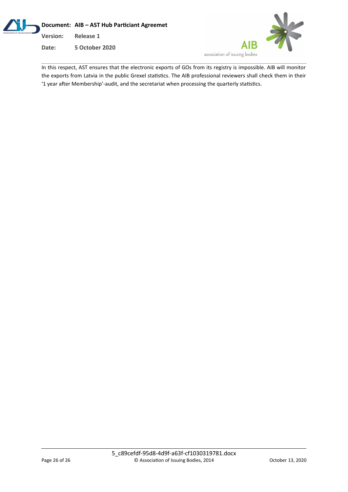



In this respect, AST ensures that the electronic exports of GOs from its registry is impossible. AIB will monitor the exports from Latvia in the public Grexel statistics. The AIB professional reviewers shall check them in their '1 year after Membership'-audit, and the secretariat when processing the quarterly statistics.